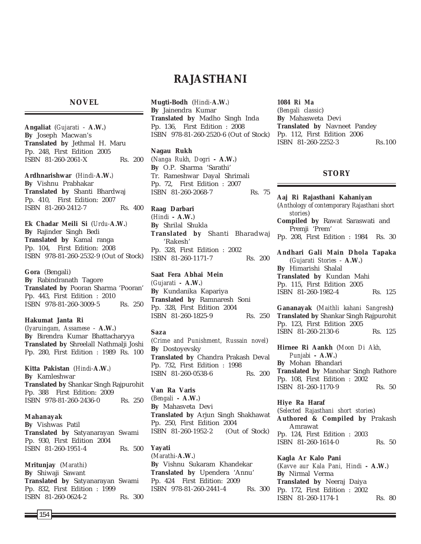# **RAJASTHANI**

## **NOVEL**

**Angaliat** (*Gujarati* - **A.W.**) **By** Joseph Macwan's **Translated by** Jethmal H. Maru Pp. 248, First Edition 2005 ISBN 81-260-2061-X Rs. 200

**Ardhnarishwar** (*Hindi-***A.W.***)* **By** Vishnu Prabhakar **Translated by** Shanti Bhardwaj Pp. 410, First Edition: 2007 ISBN 81-260-2412-7 Rs. 400

**Ek Chadar Meili Si** (*Urdu-***A.W.***)* **By** Rajinder Singh Bedi **Translated by** Kamal ranga Pp. 104, First Edition: 2008 ISBN 978-81-260-2532-9 (Out of Stock)

**Gora** (Bengali) **By** Rabindranath Tagore **Translated by** Pooran Sharma 'Pooran' Pp. 443, First Edition : 2010 ISBN 978-81-260-3009-5 Rs. 250

**Hakumat Janta Ri** (*Iyaruingam, Assamese* - **A.W.**) **By** Birendra Kumar Bhattacharyya **Translated by** Shreelall Nathmalji Joshi Pp. 280, First Edition : 1989 Rs. 100

**Kitta Pakistan** (*Hindi-***A.W.***)* **By** Kamleshwar **Translated by** Shankar Singh Rajpurohit Pp. 388 First Edition: 2009 ISBN 978-81-260-2436-0 Rs. 250

**Mahanayak By** Vishwas Patil **Translated by** Satyanarayan Swami Pp. 930, First Edition 2004 ISBN 81-260-1951-4 Rs. 500

**Mritunjay** (*Marathi*) **By** Shiwaji Sawant **Translated by** Satyanarayan Swami Pp. 832, First Edition : 1999 ISBN 81-260-0624-2 Rs. 300 **Mugti-Bodh** (*Hindi-***A.W.***)* **By** Jainendra Kumar **Translated by** Madho Singh Inda Pp. 136, First Edition : 2008 ISBN 978-81-260-2520-6 (Out of Stock)

## **Nagau Rukh**

(*Nanga Rukh, Dogri* **- A.W.**) **By** O.P. Sharma 'Sarathi' Tr. Rameshwar Dayal Shrimali Pp. 72, First Edition : 2007 ISBN 81-260-2068-7 Rs. 75

**Raag Darbari** (*Hindi* **- A.W.**) **By** Shrilal Shukla **Translated by** Shanti Bharadwaj 'Rakesh' Pp. 328, First Edition : 2002 ISBN 81-260-1171-7 Rs. 200

**Saat Fera Abhai Mein** *(Gujarati -* **A.W.***)* **By** Kundanika Kapariya **Translated by** Ramnaresh Soni Pp. 328, First Edition 2004 ISBN 81-260-1825-9 Rs. 250

#### **Saza**

(*Crime and Punishment, Russain novel*) **By** Dostoyevsky **Translated by** Chandra Prakash Deval Pp. 732, First Edition : 1998 ISBN 81-260-0538-6 Rs. 200

**Van Ra Varis** (*Bengali* **- A.W.**) **By** Mahasveta Devi **Translated by** Arjun Singh Shakhawat Pp. 250, First Edition 2004 ISBN 81-260-1952-2 (Out of Stock)

**Yayati** (*Marathi-***A.W.***)* **By** Vishnu Sukaram Khandekar **Translated by** Upendera 'Annu' Pp. 424 First Edition: 2009 ISBN 978-81-260-2441-4 Rs. 300

*1084 Ri Ma* (*Bengali classic*) **By** Mahasweta Devi **Translated by** Navneet Pandey Pp. 112, First Edition 2006 ISBN 81-260-2252-3 Rs.100

## **STORY**

**Aaj Ri Rajasthani Kahaniyan** (*Anthology of contemporary Rajasthani short stories*) **Compiled by** Rawat Saraswati and Premji 'Prem' Pp. 208, First Edition : 1984 Rs. 30 **Andhari Gali Main Dhola Tapaka** (*Gujarati Stories* - **A.W.**) **By** Himarishi Shalal **Translated by** Kundan Mahi Pp. 115, First Edition 2005 ISBN 81-260-1982-4 Rs. 125

**Gananayak** (*Maithli kahani Sangresh***) Translated by** Shankar Singh Rajpurohit Pp. 123, First Edition 2005 ISBN 81-260-2130-6 Rs. 125

**Hirnee Ri Aankh** (*Moon Di Akh, Punjabi* **- A.W.**) **By** Mohan Bhandari **Translated by** Manohar Singh Rathore Pp. 108, First Edition : 2002 ISBN 81-260-1170-9 Rs. 50

**Hiye Ra Haraf** (*Selected Rajasthani short stories*) **Authored & Compiled by** Prakash Amrawat Pp. 124, First Edition : 2003 ISBN 81-260-1614-0 Rs. 50

**Kagla Ar Kalo Pani** (*Kavve aur Kala Pani, Hindi* **- A.W.**) **By** Nirmal Verma **Translated by** Neeraj Daiya Pp. 172, First Edition : 2002 ISBN 81-260-1174-1 Rs. 80

154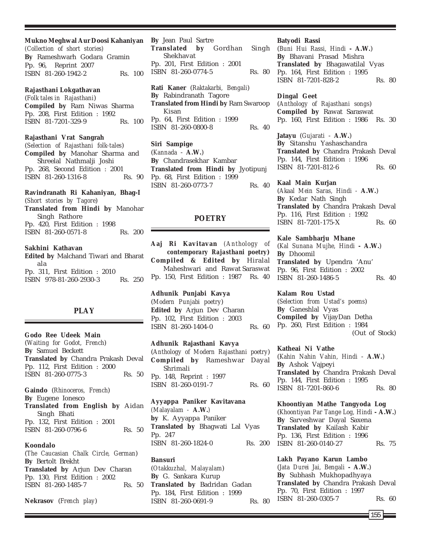#### **Mukno Meghwal Aur Doosi Kahaniyan**

*(Collection of short stories)* **By** Rameshwarh Godara Gramin Pp. 96, Reprint 2007 ISBN 81-260-1942-2 Rs. 100

## **Rajasthani Lokgathavan**

(*Folk tales in Rajasthani*) **Compiled by** Ram Niwas Sharma Pp. 208, First Edition : 1992 ISBN 81-7201-329-9 Rs. 100

#### **Rajasthani Vrat Sangrah**

(*Selection of Rajasthani folk-tales*) **Compiled by** Manohar Sharma and Shreelal Nathmalji Joshi Pp. 268, Second Edition : 2001 ISBN 81-260-1316-8 Rs. 90

## **Ravindranath Ri Kahaniyan, Bhag-I** (*Short stories by Tagore*)

**Translated from Hindi by** Manohar Singh Rathore Pp. 420, First Edition : 1998 ISBN 81-260-0571-8 Rs. 200

#### **Sakhini Kathavan**

**Edited by** Malchand Tiwari and Bharat ala Pp. 311, First Edition : 2010 ISBN 978-81-260-2930-3 Rs. 250

## **PLAY**

## **Godo Ree Udeek Main** (*Waiting for Godot, French*) **By** Samuel Beckett **Translated by** Chandra Prakash Deval Pp. 112, First Edition : 2000 ISBN 81-260-0775-3 Rs. 50

### **Gaindo** (*Rhinoceros, French*)

**By** Eugene Ionesco **Translated from English by** Aidan Singh Bhati Pp. 132, First Edition : 2001

ISBN 81-260-0796-6 Rs. 50

## **Koondalo**

(*The Caucasian Chalk Circle, German*) **By** Bertolt Brekht **Translated by** Arjun Dev Charan Pp. 130, First Edition : 2002 ISBN 81-260-1485-7 Rs. 50

**Nekrasov** (*French play*)

**By** Jean Paul Sartre **Translated by** Gordhan Singh Shekhavat Pp. 201, First Edition : 2001 ISBN 81-260-0774-5 Rs. 80

**Rati Kaner** (*Raktakarbi, Bengali*) **By** Rabindranath Tagore **Translated from Hindi by** Ram Swaroop Kisan Pp. 64, First Edition : 1999 ISBN 81-260-0800-8 Rs. 40

**Siri Sampige** (*Kannada* - **A.W.**) **By** Chandrasekhar Kambar **Translated from Hindi by** Jyotipunj Pp. 68, First Edition : 1999 ISBN 81-260-0773-7 Rs. 40

## **POETRY**

**Aaj Ri Kavitavan** *(Anthology of contemporary Rajasthani poetry***) Compiled & Edited by** Hiralal Maheshwari and Rawat Saraswat Pp. 150, First Edition : 1987 Rs. 40

**Adhunik Punjabi Kavya** (*Modern Punjabi poetry*) **Edited by** Arjun Dev Charan Pp. 102, First Edition : 2003 ISBN 81-260-1404-0 Rs. 60

**Adhunik Rajasthani Kavya** (*Anthology of Modern Rajasthani poetry*) **Compiled by** Rameshwar Dayal Shrimali Pp. 148, Reprint : 1997 ISBN 81-260-0191-7 Rs. 60

**Ayyappa Paniker Kavitavana** *(Malayalam -* **A.W.***)* **by** K. Ayyappa Paniker **Translated by** Bhagwati Lal Vyas Pp. 247 ISBN 81-260-1824-0 Rs. 200

## **Bansuri** (*Otakkuzhal, Malayalam*) **By** G. Sankara Kurup **Translated by** Badridan Gadan Pp. 184, First Edition : 1999 ISBN 81-260-0691-9 Rs. 80

#### **Batyodi Rassi**

(*Buni Hui Rassi, Hindi* **- A.W.**) **By** Bhavani Prasad Mishra **Translated by** Bhagawatilal Vyas Pp. 164, First Edition : 1995 ISBN 81-7201-828-2 Rs. 80

#### **Dingal Geet**

(*Anthology of Rajasthani songs*) **Compiled by** Rawat Saraswat Pp. 160, First Edition : 1986 Rs. 30

**Jatayu** (*Gujarati* - **A.W.**) **By** Sitanshu Yashaschandra **Translated by** Chandra Prakash Deval Pp. 144, First Edition : 1996 ISBN 81-7201-812-6 Rs. 60

**Kaal Main Kurjan** (*Akaal Mein Saras, Hindi -* **A.W.**) **By** Kedar Nath Singh **Translated by** Chandra Prakash Deval Pp. 116, First Edition : 1992 ISBN 81-7201-175-X Rs. 60

**Kale Sambharju Mhane** (*Kal Sunana Mujhe, Hindi* **- A.W.**) **By** Dhoomil **Translated by** Upendra 'Anu' Pp. 96, First Edition : 2002 ISBN 81-260-1486-5 Rs. 40

**Kalam Rou Ustad** (*Selection from Ustad's poems*) **By** Ganeshlal Vyas **Compiled by** VijayDan Detha Pp. 260, First Edition : 1984 (Out of Stock)

## **Katheai Ni Vathe**

(*Kahin Nahin Vahin, Hindi* - **A.W.**) **By** Ashok Vajpeyi **Translated by** Chandra Prakash Deval Pp. 144, First Edition : 1995 ISBN 81-7201-860-6 Rs. 80

#### **Khoontiyan Mathe Tangyoda Log**

(*Khoontiyan Par Tange Log, Hindi* **- A.W.**) **By** Sarveshwar Dayal Saxena **Translated by** Kailash Kabir Pp. 136, First Edition : 1996 ISBN 81-260-0140-27 Rs. 75

**Lakh Payano Karun Lambo** (*Jata Durei Jai, Bengali* **- A.W.**) **By** Subhash Mukhopadhyaya **Translated by** Chandra Prakash Deval Pp. 70, First Edition : 1997 ISBN 81-260-0305-7 Rs. 60

155 **l**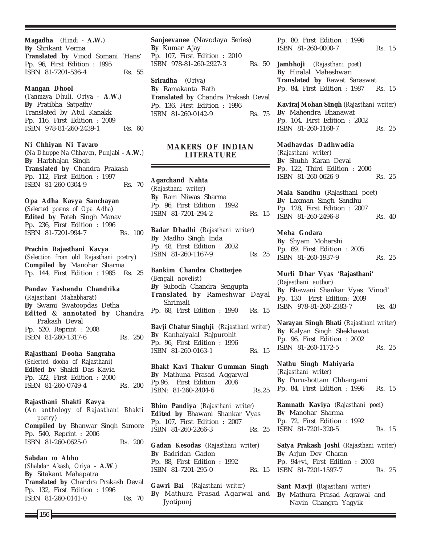**Magadha** (*Hindi* - **A.W.**) **By** Shrikant Verma **Translated by** Vinod Somani 'Hans' Pp. 96, First Edition : 1995 ISBN 81-7201-536-4 Rs. 55

#### **Mangan Dhool**

(*Tanmaya Dhuli, Oriya –* **A.W.**) **By** Pratibha Satpathy Translated by Atul Kanakk Pp. 116, First Edition : 2009 ISBN 978-81-260-2439-1 Rs. 60

## **Ni Chhiyan Ni Tavaro**

(*Na Dhuppe Na Chhaven, Punjabi* **- A.W.**) **By** Harbhajan Singh **Translated by** Chandra Prakash Pp. 112, First Edition : 1997 ISBN 81-260-0304-9 Rs. 70

#### **Opa Adha Kavya Sanchayan**

(*Selected poems of Opa Adha*) **Edited by** Fateh Singh Manav Pp. 236, First Edition : 1996 ISBN 81-7201-994-7 Rs. 100

## **Prachin Rajasthani Kavya**

(*Selection from old Rajasthani poetry*) **Compiled by** Manohar Sharma Pp. 144, First Edition : 1985 Rs. 25

#### **Pandav Yashendu Chandrika**

(*Rajasthani Mahabharat*) **By** Swami Swatoopdas Detha **Edited & annotated by** Chandra Prakash Deval Pp. 520, Reprint : 2008 ISBN 81-260-1317-6 Rs. 250

#### **Rajasthani Dooha Sangraha**

(*Selected dooha of Rajasthani*) **Edited by** Shakti Das Kavia Pp. 322, First Edition : 2000 ISBN 81-260-0749-4 Rs. 200

#### **Rajasthani Shakti Kavya**

(*An anthology of Rajasthani Bhakti poetry*) **Compiled by** Bhanwar Singh Samore Pp. 540, Reprint : 2006 ISBN 81-260-0625-0 Rs. 200

### **Sabdan ro Abho**

*(Shabdar Akash, Oriya* - **A.W***.)* **By** Sitakant Mahapatra **Translated by** Chandra Prakash Deval Pp. 132, First Edition : 1996 ISBN 81-260-0141-0 Rs. 70

**Sanjeevanee** (Navodaya Series) **By** Kumar Ajay Pp. 107, First Edition : 2010 ISBN 978-81-260-2927-3 Rs. 50

**Sriradha** (*Oriya*) **By** Ramakanta Rath **Translated by** Chandra Prakash Deval Pp. 136, First Edition : 1996 ISBN 81-260-0142-9 Rs. 75

## **MAKERS OF INDIAN LITERATURE**

**Agarchand Nahta** (*Rajasthani writer*) **By** Ram Niwas Sharma Pp. 96, First Edition : 1992 ISBN 81-7201-294-2 Rs. 15

**Badar Dhadhi** (*Rajasthani writer*) **By** Madho Singh Inda Pp. 48, First Edition : 2002 ISBN 81-260-1167-9 Rs. 25

**Bankim Chandra Chatterjee** (*Bengali novelist*) **By** Subodh Chandra Sengupta **Translated by** Rameshwar Dayal Shrimali Pp. 68, First Edition : 1990 Rs. 15

**Bavji Chatur Singhji** (*Rajasthani writer*) **By** Kanhaiyalal Rajpurohit Pp. 96, First Edition : 1996 ISBN 81-260-0163-1 Rs. 15

**Bhakt Kavi Thakur Gumman Singh By** Mathuna Prasad Aggarwal Pp.96, First Edition : 2006 ISBN: 81-260-2404-6 Rs.25

**Bhim Pandiya** *(Rajasthani writer)* **Edited by** Bhawani Shankar Vyas Pp. 107, First Edition : 2007 ISBN 81-260-2266-3 Rs. 25

**Gadan Kesodas** (*Rajasthani writer*) **By** Badridan Gadon Pp. 88, First Edition : 1992 ISBN 81-7201-295-0 Rs. 15

**Gawri Bai** (*Rajasthani writer*) **By** Mathura Prasad Agarwal and Jyotipunj

Pp. 80, First Edition : 1996 ISBN 81-260-0000-7 Rs. 15

**Jambhoji** (*Rajasthani poet*) **By** Hiralal Maheshwari **Translated by** Rawat Saraswat Pp. 84, First Edition : 1987 Rs. 15

**Kaviraj Mohan Singh** (*Rajasthani writer*) **By** Mahendra Bhanawat Pp. 104, First Edition : 2002 ISBN 81-260-1168-7 Rs. 25

#### **Madhavdas Dadhwadia**

(*Rajasthani writer*) **By** Shubh Karan Deval Pp. 122, Third Edition : 2000 ISBN 81-260-0626-9 Rs. 25

**Mala Sandhu** (Rajasthani poet) **By** Laxman Singh Sandhu Pp. 128, First Edition : 2007 ISBN 81-260-2496-8 Rs. 40

## **Meha Godara**

**By** Shyam Moharshi Pp. 69, First Edition : 2005 ISBN 81-260-1937-9 Rs. 25

**Murli Dhar Vyas 'Rajasthani'** (*Rajasthani author*) **By** Bhawani Shankar Vyas 'Vinod' Pp. 130 First Edition: 2009 ISBN 978-81-260-2383-7 Rs. 40

**Narayan Singh Bhati** (*Rajasthani writer*) **By** Kalyan Singh Shekhawat Pp. 96, First Edition : 2002 ISBN 81-260-1172-5 Rs. 25

**Nathu Singh Mahiyaria** (*Rajasthani writer*) **By** Purushottam Chhangami Pp. 84, First Edition : 1996 Rs. 15

**Ramnath Kaviya** (*Rajasthani poet*) **By** Manohar Sharma Pp. 72, First Edition : 1992 ISBN 81-7201-320-5 Rs. 15

**Satya Prakash Joshi** (*Rajasthani writer*) **By** Arjun Dev Charan Pp. 94+vi, First Edition : 2003 ISBN 81-7201-1597-7 Rs. 25

**Sant Mavji** (*Rajasthani writer*) **By** Mathura Prasad Agrawal and Navin Changra Yagyik

156